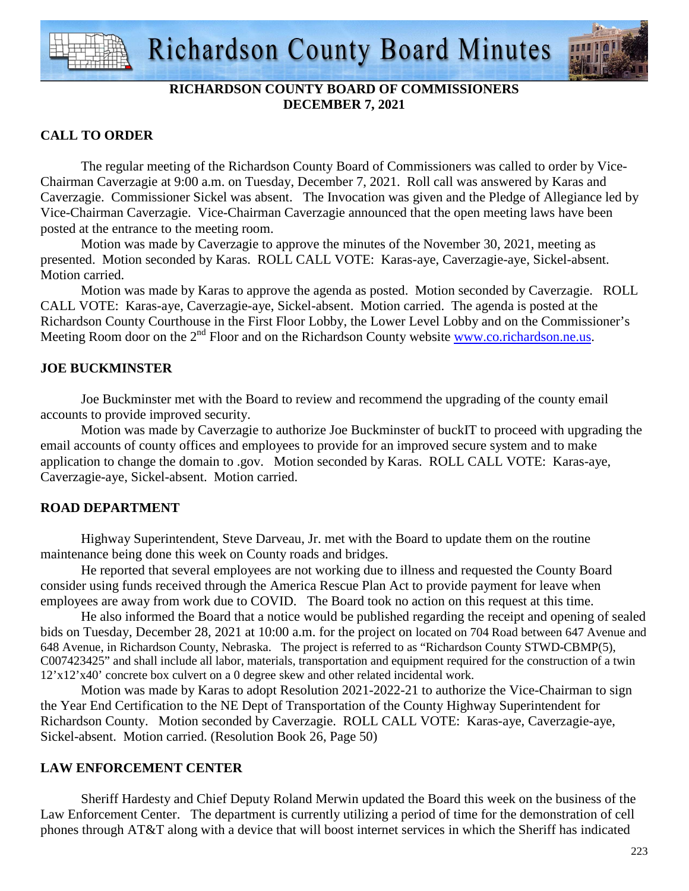

# **RICHARDSON COUNTY BOARD OF COMMISSIONERS DECEMBER 7, 2021**

# **CALL TO ORDER**

 The regular meeting of the Richardson County Board of Commissioners was called to order by Vice-Chairman Caverzagie at 9:00 a.m. on Tuesday, December 7, 2021. Roll call was answered by Karas and Caverzagie. Commissioner Sickel was absent. The Invocation was given and the Pledge of Allegiance led by Vice-Chairman Caverzagie. Vice-Chairman Caverzagie announced that the open meeting laws have been posted at the entrance to the meeting room.

 Motion was made by Caverzagie to approve the minutes of the November 30, 2021, meeting as presented. Motion seconded by Karas. ROLL CALL VOTE: Karas-aye, Caverzagie-aye, Sickel-absent. Motion carried.

 Motion was made by Karas to approve the agenda as posted. Motion seconded by Caverzagie. ROLL CALL VOTE: Karas-aye, Caverzagie-aye, Sickel-absent. Motion carried. The agenda is posted at the Richardson County Courthouse in the First Floor Lobby, the Lower Level Lobby and on the Commissioner's Meeting Room door on the 2<sup>nd</sup> Floor and on the Richardson County website www.co.richardson.ne.us.

# **JOE BUCKMINSTER**

 Joe Buckminster met with the Board to review and recommend the upgrading of the county email accounts to provide improved security.

 Motion was made by Caverzagie to authorize Joe Buckminster of buckIT to proceed with upgrading the email accounts of county offices and employees to provide for an improved secure system and to make application to change the domain to .gov. Motion seconded by Karas. ROLL CALL VOTE: Karas-aye, Caverzagie-aye, Sickel-absent. Motion carried.

# **ROAD DEPARTMENT**

 Highway Superintendent, Steve Darveau, Jr. met with the Board to update them on the routine maintenance being done this week on County roads and bridges.

He reported that several employees are not working due to illness and requested the County Board consider using funds received through the America Rescue Plan Act to provide payment for leave when employees are away from work due to COVID. The Board took no action on this request at this time.

 He also informed the Board that a notice would be published regarding the receipt and opening of sealed bids on Tuesday, December 28, 2021 at 10:00 a.m. for the project on located on 704 Road between 647 Avenue and 648 Avenue, in Richardson County, Nebraska. The project is referred to as "Richardson County STWD-CBMP(5), C007423425" and shall include all labor, materials, transportation and equipment required for the construction of a twin 12'x12'x40' concrete box culvert on a 0 degree skew and other related incidental work.

 Motion was made by Karas to adopt Resolution 2021-2022-21 to authorize the Vice-Chairman to sign the Year End Certification to the NE Dept of Transportation of the County Highway Superintendent for Richardson County. Motion seconded by Caverzagie. ROLL CALL VOTE: Karas-aye, Caverzagie-aye, Sickel-absent. Motion carried. (Resolution Book 26, Page 50)

## **LAW ENFORCEMENT CENTER**

 Sheriff Hardesty and Chief Deputy Roland Merwin updated the Board this week on the business of the Law Enforcement Center. The department is currently utilizing a period of time for the demonstration of cell phones through AT&T along with a device that will boost internet services in which the Sheriff has indicated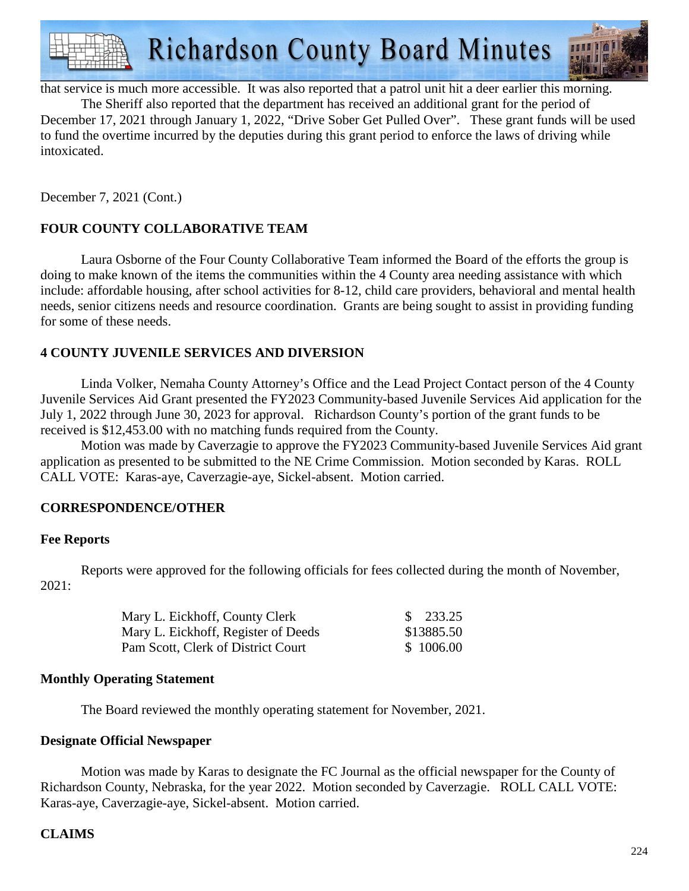

that service is much more accessible. It was also reported that a patrol unit hit a deer earlier this morning.

 The Sheriff also reported that the department has received an additional grant for the period of December 17, 2021 through January 1, 2022, "Drive Sober Get Pulled Over". These grant funds will be used to fund the overtime incurred by the deputies during this grant period to enforce the laws of driving while intoxicated.

December 7, 2021 (Cont.)

## **FOUR COUNTY COLLABORATIVE TEAM**

 Laura Osborne of the Four County Collaborative Team informed the Board of the efforts the group is doing to make known of the items the communities within the 4 County area needing assistance with which include: affordable housing, after school activities for 8-12, child care providers, behavioral and mental health needs, senior citizens needs and resource coordination. Grants are being sought to assist in providing funding for some of these needs.

## **4 COUNTY JUVENILE SERVICES AND DIVERSION**

 Linda Volker, Nemaha County Attorney's Office and the Lead Project Contact person of the 4 County Juvenile Services Aid Grant presented the FY2023 Community-based Juvenile Services Aid application for the July 1, 2022 through June 30, 2023 for approval. Richardson County's portion of the grant funds to be received is \$12,453.00 with no matching funds required from the County.

 Motion was made by Caverzagie to approve the FY2023 Community-based Juvenile Services Aid grant application as presented to be submitted to the NE Crime Commission. Motion seconded by Karas. ROLL CALL VOTE: Karas-aye, Caverzagie-aye, Sickel-absent. Motion carried.

## **CORRESPONDENCE/OTHER**

## **Fee Reports**

 Reports were approved for the following officials for fees collected during the month of November, 2021:

| Mary L. Eickhoff, County Clerk      | $\frac{\$}{233.25}$ |
|-------------------------------------|---------------------|
| Mary L. Eickhoff, Register of Deeds | \$13885.50          |
| Pam Scott, Clerk of District Court  | \$1006.00           |

## **Monthly Operating Statement**

The Board reviewed the monthly operating statement for November, 2021.

## **Designate Official Newspaper**

Motion was made by Karas to designate the FC Journal as the official newspaper for the County of Richardson County, Nebraska, for the year 2022. Motion seconded by Caverzagie. ROLL CALL VOTE: Karas-aye, Caverzagie-aye, Sickel-absent. Motion carried.

## **CLAIMS**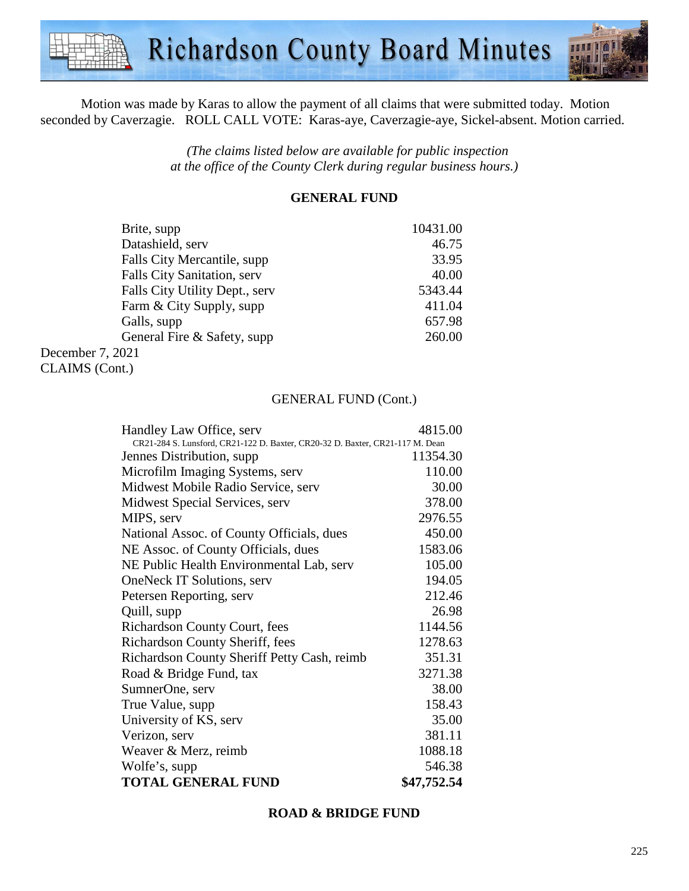

Motion was made by Karas to allow the payment of all claims that were submitted today. Motion seconded by Caverzagie. ROLL CALL VOTE: Karas-aye, Caverzagie-aye, Sickel-absent. Motion carried.

> *(The claims listed below are available for public inspection at the office of the County Clerk during regular business hours.)*

## **GENERAL FUND**

| Brite, supp                    | 10431.00 |
|--------------------------------|----------|
| Datashield, serv               | 46.75    |
| Falls City Mercantile, supp.   | 33.95    |
| Falls City Sanitation, serv    | 40.00    |
| Falls City Utility Dept., serv | 5343.44  |
| Farm & City Supply, supp       | 411.04   |
| Galls, supp                    | 657.98   |
| General Fire & Safety, supp    | 260.00   |
| December 7, 2021               |          |

CLAIMS (Cont.)

#### GENERAL FUND (Cont.)

| Handley Law Office, serv                                                      | 4815.00     |
|-------------------------------------------------------------------------------|-------------|
| CR21-284 S. Lunsford, CR21-122 D. Baxter, CR20-32 D. Baxter, CR21-117 M. Dean |             |
| Jennes Distribution, supp.                                                    | 11354.30    |
| Microfilm Imaging Systems, serv                                               | 110.00      |
| Midwest Mobile Radio Service, serv                                            | 30.00       |
| Midwest Special Services, serv                                                | 378.00      |
| MIPS, serv                                                                    | 2976.55     |
| National Assoc. of County Officials, dues                                     | 450.00      |
| NE Assoc. of County Officials, dues                                           | 1583.06     |
| NE Public Health Environmental Lab, serv                                      | 105.00      |
| <b>OneNeck IT Solutions, serv</b>                                             | 194.05      |
| Petersen Reporting, serv                                                      | 212.46      |
| Quill, supp                                                                   | 26.98       |
| <b>Richardson County Court, fees</b>                                          | 1144.56     |
| Richardson County Sheriff, fees                                               | 1278.63     |
| Richardson County Sheriff Petty Cash, reimb                                   | 351.31      |
| Road & Bridge Fund, tax                                                       | 3271.38     |
| SumnerOne, serv                                                               | 38.00       |
| True Value, supp.                                                             | 158.43      |
| University of KS, serv                                                        | 35.00       |
| Verizon, serv                                                                 | 381.11      |
| Weaver & Merz, reimb                                                          | 1088.18     |
| Wolfe's, supp                                                                 | 546.38      |
| <b>TOTAL GENERAL FUND</b>                                                     | \$47,752.54 |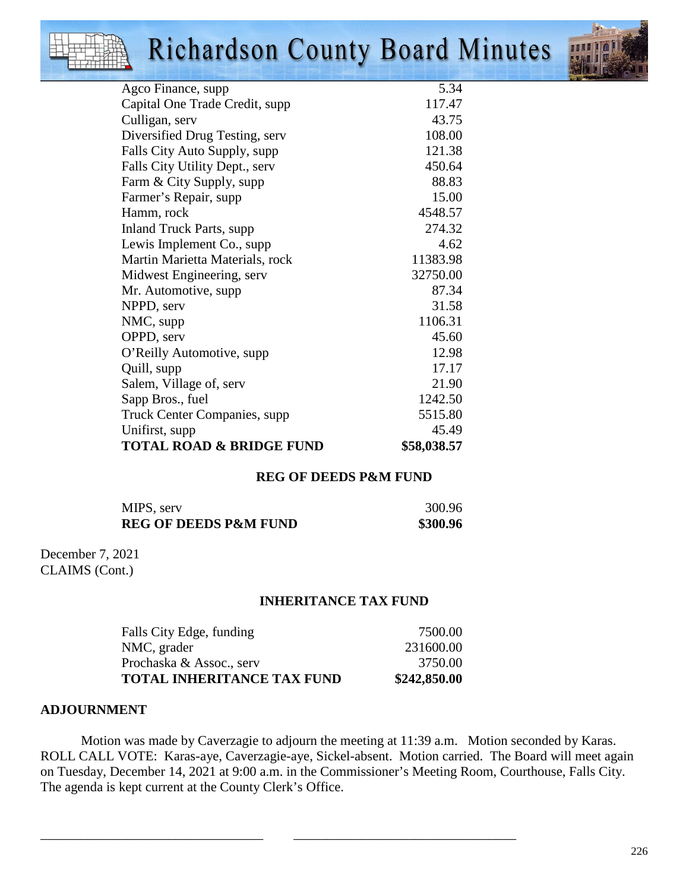# **Richardson County Board Minutes**



| Agco Finance, supp                  | 5.34        |
|-------------------------------------|-------------|
| Capital One Trade Credit, supp      | 117.47      |
| Culligan, serv                      | 43.75       |
| Diversified Drug Testing, serv      | 108.00      |
| Falls City Auto Supply, supp        | 121.38      |
| Falls City Utility Dept., serv      | 450.64      |
| Farm & City Supply, supp            | 88.83       |
| Farmer's Repair, supp               | 15.00       |
| Hamm, rock                          | 4548.57     |
| <b>Inland Truck Parts, supp</b>     | 274.32      |
| Lewis Implement Co., supp           | 4.62        |
| Martin Marietta Materials, rock     | 11383.98    |
| Midwest Engineering, serv           | 32750.00    |
| Mr. Automotive, supp                | 87.34       |
| NPPD, serv                          | 31.58       |
| NMC, supp                           | 1106.31     |
| OPPD, serv                          | 45.60       |
| O'Reilly Automotive, supp           | 12.98       |
| Quill, supp                         | 17.17       |
| Salem, Village of, serv             | 21.90       |
| Sapp Bros., fuel                    | 1242.50     |
| Truck Center Companies, supp        | 5515.80     |
| Unifirst, supp                      | 45.49       |
| <b>TOTAL ROAD &amp; BRIDGE FUND</b> | \$58,038.57 |

## **REG OF DEEDS P&M FUND**

| MIPS, serv                       | 300.96   |
|----------------------------------|----------|
| <b>REG OF DEEDS P&amp;M FUND</b> | \$300.96 |

December 7, 2021 CLAIMS (Cont.)

#### **INHERITANCE TAX FUND**

| \$242,850.00 |
|--------------|
| 3750.00      |
| 231600.00    |
| 7500.00      |
|              |

\_\_\_\_\_\_\_\_\_\_\_\_\_\_\_\_\_\_\_\_\_\_\_\_\_\_\_\_\_\_\_\_\_ \_\_\_\_\_\_\_\_\_\_\_\_\_\_\_\_\_\_\_\_\_\_\_\_\_\_\_\_\_\_\_\_\_

#### **ADJOURNMENT**

Motion was made by Caverzagie to adjourn the meeting at 11:39 a.m. Motion seconded by Karas. ROLL CALL VOTE: Karas-aye, Caverzagie-aye, Sickel-absent. Motion carried. The Board will meet again on Tuesday, December 14, 2021 at 9:00 a.m. in the Commissioner's Meeting Room, Courthouse, Falls City. The agenda is kept current at the County Clerk's Office.